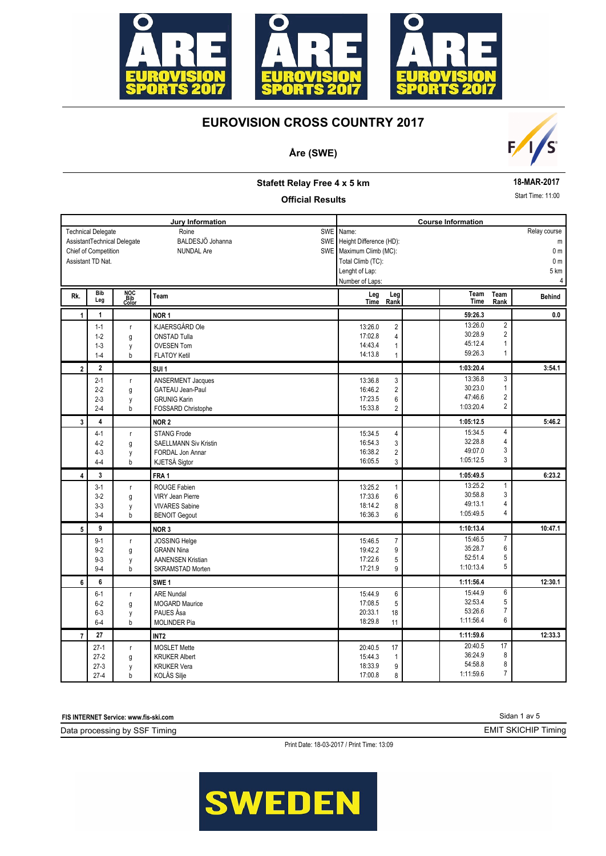

## **Åre (SWE)**



#### **18-MAR-2017**

Start Time: 11:00

#### **Stafett Relay Free 4 x 5 km**

#### **Official Results**

| Assistant TD Nat. | <b>Technical Delegate</b>                              |                     | Jury Information<br><b>SWE</b><br>Roine    | Name:                   |                    |                         | <b>Course Information</b> |                         |                |
|-------------------|--------------------------------------------------------|---------------------|--------------------------------------------|-------------------------|--------------------|-------------------------|---------------------------|-------------------------|----------------|
|                   |                                                        |                     |                                            |                         |                    |                         |                           |                         |                |
|                   |                                                        |                     |                                            |                         |                    |                         |                           |                         | Relay course   |
|                   | BALDESJÖ Johanna<br>SWE<br>AssistantTechnical Delegate |                     |                                            |                         |                    | Height Difference (HD): |                           |                         | m              |
|                   | Chief of Competition                                   |                     | <b>NUNDAL Are</b>                          | SWE Maximum Climb (MC): |                    |                         |                           |                         | 0 <sub>m</sub> |
|                   |                                                        |                     |                                            |                         | Total Climb (TC):  |                         |                           |                         | 0 <sub>m</sub> |
|                   |                                                        |                     |                                            | Lenght of Lap:          |                    |                         |                           |                         | 5 km           |
|                   |                                                        |                     |                                            |                         | Number of Laps:    |                         |                           |                         | $\overline{4}$ |
| Rk.               | Bib<br>Leg                                             | NOC<br>Bib<br>Color | Team                                       |                         | Leg<br>Time        | Leg<br>Rank             | Team<br><b>Time</b>       | Team<br>Rank            | <b>Behind</b>  |
| $\mathbf{1}$      | 1                                                      |                     | NOR <sub>1</sub>                           |                         |                    |                         | 59:26.3                   |                         | 0.0            |
|                   | $1 - 1$                                                | $\mathsf r$         | KJAERSGÅRD Ole                             |                         | 13:26.0            | $\overline{\mathbf{c}}$ | 13:26.0                   | $\overline{2}$          |                |
|                   | $1 - 2$                                                | g                   | <b>ONSTAD Tulla</b>                        |                         | 17:02.8            | 4                       | 30:28.9                   | $\overline{2}$          |                |
|                   | $1 - 3$                                                | y                   | <b>OVESEN Tom</b>                          |                         | 14:43.4            | 1                       | 45:12.4                   | 1                       |                |
|                   | $1 - 4$                                                | b                   | <b>FLATOY Ketil</b>                        |                         | 14:13.8            | 1                       | 59:26.3                   | 1                       |                |
| $\overline{2}$    | $\overline{2}$                                         |                     | SUI <sub>1</sub>                           |                         |                    |                         | 1:03:20.4                 |                         | 3:54.1         |
|                   | $2 - 1$                                                | r                   | ANSERMENT Jacques                          |                         | 13:36.8            | 3                       | 13:36.8                   | 3                       |                |
|                   | $2 - 2$                                                | g                   | <b>GATEAU Jean-Paul</b>                    |                         | 16:46.2            | $\overline{2}$          | 30:23.0                   | $\mathbf{1}$            |                |
|                   | $2 - 3$                                                | y                   | <b>GRUNIG Karin</b>                        |                         | 17:23.5            | 6                       | 47:46.6                   | $\overline{\mathbf{c}}$ |                |
|                   | $2 - 4$                                                | b                   | FOSSARD Christophe                         |                         | 15:33.8            | $\overline{2}$          | 1:03:20.4                 | $\overline{2}$          |                |
| 3                 | $\overline{\mathbf{4}}$                                |                     | NOR <sub>2</sub>                           |                         |                    |                         | 1:05:12.5                 |                         | 5:46.2         |
|                   | $4 - 1$                                                | r                   | <b>STANG Frode</b>                         |                         | 15:34.5            | 4                       | 15:34.5                   | 4                       |                |
|                   | $4 - 2$                                                | g                   | <b>SAELLMANN Siv Kristin</b>               |                         | 16:54.3            | 3                       | 32:28.8                   | 4                       |                |
|                   | $4 - 3$                                                | у                   | FORDAL Jon Annar                           |                         | 16:38.2            | $\overline{2}$          | 49:07.0                   | 3                       |                |
|                   | $4 - 4$                                                | b                   | KJETSÅ Sigtor                              |                         | 16:05.5            | 3                       | 1:05:12.5                 | 3                       |                |
| 4                 | 3                                                      |                     | FRA <sub>1</sub>                           |                         |                    |                         | 1:05:49.5                 |                         | 6:23.2         |
|                   | $3 - 1$                                                | r                   | ROUGE Fabien                               |                         | 13:25.2            | 1                       | 13:25.2                   | 1                       |                |
|                   | $3-2$                                                  | g                   | <b>VIRY Jean Pierre</b>                    |                         | 17:33.6            | 6                       | 30:58.8                   | 3                       |                |
|                   | $3 - 3$                                                | y                   | <b>VIVARES Sabine</b>                      |                         | 18:14.2            | 8                       | 49:13.1                   | 4                       |                |
|                   | $3 - 4$                                                | b                   | <b>BENOIT Gegout</b>                       |                         | 16:36.3            | 6                       | 1:05:49.5                 | 4                       |                |
| 5                 | 9                                                      |                     | NOR <sub>3</sub>                           |                         |                    |                         | 1:10:13.4                 |                         | 10:47.1        |
|                   | $9 - 1$                                                | r                   | JOSSING Helge                              |                         | 15:46.5            | $\overline{7}$          | 15:46.5                   | $\overline{7}$          |                |
|                   | $9 - 2$                                                | g                   | <b>GRANN Nina</b>                          |                         | 19:42.2            | 9                       | 35:28.7                   | 6                       |                |
|                   | $9 - 3$                                                | y                   | <b>AANENSEN Kristian</b>                   |                         | 17:22.6            | 5                       | 52:51.4                   | 5                       |                |
|                   | $9 - 4$                                                | b                   | <b>SKRAMSTAD Morten</b>                    |                         | 17:21.9            | 9                       | 1:10:13.4                 | 5                       |                |
| 6                 | 6                                                      |                     | SWE <sub>1</sub>                           |                         |                    |                         | 1:11:56.4                 |                         | 12:30.1        |
|                   | $6 - 1$                                                | $\mathsf{r}$        | <b>ARE Nundal</b>                          |                         | 15:44.9            | 6                       | 15:44.9                   | 6                       |                |
|                   | $6 - 2$                                                | g                   | <b>MOGARD Maurice</b>                      |                         | 17:08.5            | 5                       | 32:53.4                   | 5                       |                |
|                   | $6 - 3$                                                | y                   | PAUES Åsa                                  |                         | 20:33.1            | 18                      | 53:26.6                   | $\overline{7}$          |                |
|                   | $6 - 4$                                                | b                   | <b>MOLINDER Pia</b>                        |                         | 18:29.8            | 11                      | 1:11:56.4                 | 6                       |                |
|                   | 27                                                     |                     | INT <sub>2</sub>                           |                         |                    |                         | 1:11:59.6                 |                         | 12:33.3        |
| $\overline{7}$    |                                                        |                     |                                            |                         |                    |                         |                           |                         |                |
|                   |                                                        |                     |                                            |                         |                    |                         | 20:40.5                   | 17                      |                |
|                   | $27-1$                                                 | $\mathsf{r}$        | <b>MOSLET Mette</b>                        |                         | 20:40.5            | 17                      | 36:24.9                   | 8                       |                |
|                   | $27-2$<br>$27-3$                                       | g<br>y              | <b>KRUKER Albert</b><br><b>KRUKER Vera</b> |                         | 15:44.3<br>18:33.9 | 1<br>9                  | 54:58.8                   | 8<br>7                  |                |

**FIS INTERNET Service: www.fis-ski.com**

Data processing by SSF Timing

Print Date: 18-03-2017 / Print Time: 13:09



Sidan 1 av 5

EMIT SKICHIP Timing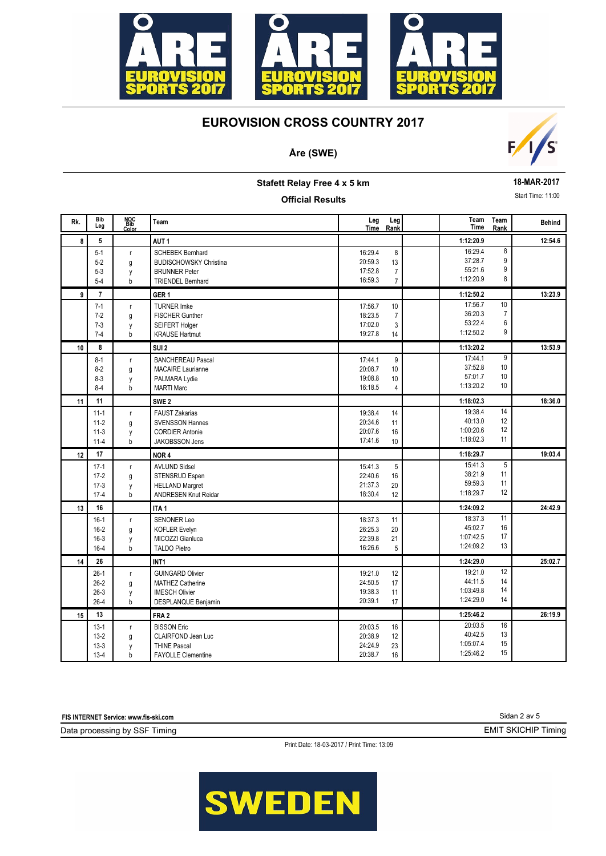

## **Åre (SWE)**



**Stafett Relay Free 4 x 5 km**

### **Official Results**

**18-MAR-2017**

Start Time: 11:00

| Rk. | <b>Bib</b><br>Leg                        | NOC<br>Bib<br>Color         | Team                                                                                                         | Leg<br>Time                              | Leg<br>Rank                                 | Team<br>Time                                 | Team<br>Rank                   | <b>Behind</b> |
|-----|------------------------------------------|-----------------------------|--------------------------------------------------------------------------------------------------------------|------------------------------------------|---------------------------------------------|----------------------------------------------|--------------------------------|---------------|
| 8   | 5                                        |                             | AUT <sub>1</sub>                                                                                             |                                          |                                             | 1:12:20.9                                    |                                | 12:54.6       |
|     | $5 - 1$<br>$5 - 2$<br>$5 - 3$<br>$5 - 4$ | $\mathsf{r}$<br>g<br>y<br>b | <b>SCHEBEK Bernhard</b><br><b>BUDISCHOWSKY Christina</b><br><b>BRUNNER Peter</b><br><b>TRIENDEL Bernhard</b> | 16:29.4<br>20:59.3<br>17:52.8<br>16:59.3 | 8<br>13<br>$\overline{7}$<br>$\overline{7}$ | 16:29.4<br>37:28.7<br>55:21.6<br>1:12:20.9   | 8<br>9<br>9<br>8               |               |
| 9   | $\overline{7}$                           |                             | GER <sub>1</sub>                                                                                             |                                          |                                             | 1:12:50.2                                    |                                | 13:23.9       |
|     | $7-1$<br>$7 - 2$<br>$7 - 3$<br>$7 - 4$   | $\mathsf{r}$<br>g<br>y<br>b | <b>TURNER Imke</b><br><b>FISCHER Gunther</b><br>SEIFERT Holger<br><b>KRAUSE Hartmut</b>                      | 17:56.7<br>18:23.5<br>17:02.0<br>19:27.8 | 10<br>$\overline{7}$<br>3<br>14             | 17:56.7<br>36:20.3<br>53:22.4<br>1:12:50.2   | 10<br>$\overline{7}$<br>6<br>9 |               |
| 10  | 8                                        |                             | SUI <sub>2</sub>                                                                                             |                                          |                                             | 1:13:20.2                                    |                                | 13:53.9       |
|     | $8 - 1$<br>$8-2$<br>$8 - 3$<br>$8 - 4$   | $\mathsf{r}$<br>g<br>y<br>b | <b>BANCHEREAU Pascal</b><br><b>MACAIRE Laurianne</b><br>PALMARA Lydie<br><b>MARTI Marc</b>                   | 17:44.1<br>20:08.7<br>19:08.8<br>16:18.5 | 9<br>10<br>10<br>$\overline{4}$             | 17:44.1<br>37:52.8<br>57:01.7<br>1:13:20.2   | 9<br>10<br>10<br>10            |               |
| 11  | 11                                       |                             | SWE <sub>2</sub>                                                                                             |                                          |                                             | 1:18:02.3                                    |                                | 18:36.0       |
|     | $11 - 1$<br>$11-2$<br>$11-3$<br>$11 - 4$ | $\mathsf{r}$<br>g<br>y<br>b | <b>FAUST Zakarias</b><br><b>SVENSSON Hannes</b><br><b>CORDIER Antonie</b><br><b>JAKOBSSON Jens</b>           | 19:38.4<br>20:34.6<br>20:07.6<br>17:41.6 | 14<br>11<br>16<br>10                        | 19:38.4<br>40:13.0<br>1:00:20.6<br>1:18:02.3 | 14<br>12<br>12<br>11           |               |
| 12  | 17                                       |                             | NOR <sub>4</sub>                                                                                             |                                          |                                             | 1:18:29.7                                    |                                | 19:03.4       |
|     | $17-1$<br>$17-2$<br>$17-3$<br>$17-4$     | $\mathsf{r}$<br>g<br>y<br>b | <b>AVLUND Sidsel</b><br>STENSRUD Espen<br><b>HELLAND Margret</b><br>ANDRESEN Knut Reidar                     | 15:41.3<br>22:40.6<br>21:37.3<br>18:30.4 | $\overline{5}$<br>16<br>20<br>12            | 15:41.3<br>38:21.9<br>59:59.3<br>1:18:29.7   | 5<br>11<br>11<br>12            |               |
| 13  | 16                                       |                             | ITA <sub>1</sub>                                                                                             |                                          |                                             | 1:24:09.2                                    |                                | 24:42.9       |
|     | $16-1$<br>$16-2$<br>$16-3$<br>$16 - 4$   | $\mathsf{r}$<br>g<br>y<br>b | <b>SENONER Leo</b><br><b>KOFLER Evelyn</b><br>MICOZZI Gianluca<br><b>TALDO Pietro</b>                        | 18:37.3<br>26:25.3<br>22:39.8<br>16:26.6 | 11<br>20<br>21<br>5                         | 18:37.3<br>45:02.7<br>1:07:42.5<br>1:24:09.2 | 11<br>16<br>17<br>13           |               |
| 14  | 26                                       |                             | INT <sub>1</sub>                                                                                             |                                          |                                             | 1:24:29.0                                    |                                | 25:02.7       |
|     | $26-1$<br>$26-2$<br>$26-3$<br>$26 - 4$   | $\mathsf{r}$<br>g<br>y<br>b | <b>GUINGARD Olivier</b><br><b>MATHEZ Catherine</b><br><b>IMESCH Olivier</b><br>DESPLANQUE Benjamin           | 19:21.0<br>24:50.5<br>19:38.3<br>20:39.1 | 12<br>17<br>11<br>17                        | 19:21.0<br>44:11.5<br>1:03:49.8<br>1:24:29.0 | 12<br>14<br>14<br>14           |               |
| 15  | 13                                       |                             | FRA <sub>2</sub>                                                                                             |                                          |                                             | 1:25:46.2                                    |                                | 26:19.9       |
|     | $13-1$<br>$13-2$<br>$13-3$<br>$13-4$     | $\mathsf{r}$<br>g<br>y<br>b | <b>BISSON Eric</b><br>CLAIRFOND Jean Luc<br><b>THINE Pascal</b><br><b>FAYOLLE Clementine</b>                 | 20:03.5<br>20:38.9<br>24:24.9<br>20:38.7 | 16<br>12<br>23<br>16                        | 20:03.5<br>40:42.5<br>1:05:07.4<br>1:25:46.2 | 16<br>13<br>15<br>15           |               |

**FIS INTERNET Service: www.fis-ski.com**

Data processing by SSF Timing

Print Date: 18-03-2017 / Print Time: 13:09

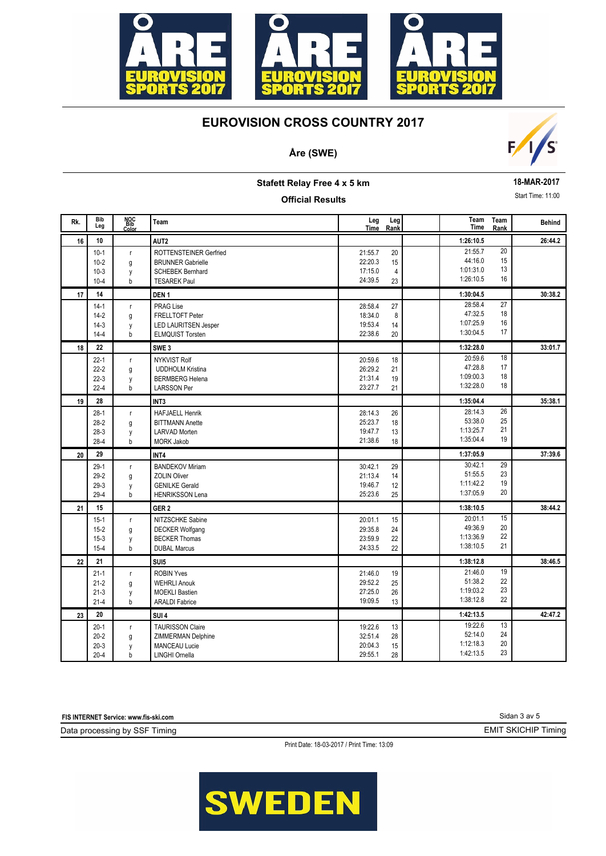

## **Åre (SWE)**



**Stafett Relay Free 4 x 5 km**

#### **Official Results**

**18-MAR-2017**

Start Time: 11:00

| Rk. | <b>Bib</b><br>Leg                          | NOC<br>Bib<br>Color         | Team                                                                                                 | Leg<br>Time                              | Leg<br>Rank                      | Team<br>Time                                 | Team<br>Rank         | <b>Behind</b> |
|-----|--------------------------------------------|-----------------------------|------------------------------------------------------------------------------------------------------|------------------------------------------|----------------------------------|----------------------------------------------|----------------------|---------------|
| 16  | 10                                         |                             | AUT2                                                                                                 |                                          |                                  | 1:26:10.5                                    |                      | 26:44.2       |
|     | $10-1$<br>$10 - 2$<br>$10-3$<br>$10 - 4$   | $\mathsf{r}$<br>g<br>y<br>b | ROTTENSTEINER Gerfried<br><b>BRUNNER Gabrielle</b><br><b>SCHEBEK Bernhard</b><br><b>TESAREK Paul</b> | 21:55.7<br>22:20.3<br>17:15.0<br>24:39.5 | 20<br>15<br>$\overline{4}$<br>23 | 21:55.7<br>44:16.0<br>1:01:31.0<br>1:26:10.5 | 20<br>15<br>13<br>16 |               |
| 17  | 14                                         |                             | DEN <sub>1</sub>                                                                                     |                                          |                                  | 1:30:04.5                                    |                      | 30:38.2       |
|     | $14-1$<br>$14-2$<br>$14-3$<br>$14 - 4$     | $\mathsf{r}$<br>g<br>y<br>b | <b>PRAG Lise</b><br>FRELLTOFT Peter<br><b>LED LAURITSEN Jesper</b><br><b>ELMQUIST Torsten</b>        | 28:58.4<br>18:34.0<br>19:53.4<br>22:38.6 | 27<br>8<br>14<br>20              | 28:58.4<br>47:32.5<br>1:07:25.9<br>1:30:04.5 | 27<br>18<br>16<br>17 |               |
| 18  | 22                                         |                             | SWE <sub>3</sub>                                                                                     |                                          |                                  | 1:32:28.0                                    |                      | 33:01.7       |
|     | $22 - 1$<br>$22-2$<br>$22-3$<br>$22 - 4$   | $\mathsf{r}$<br>g<br>y<br>b | <b>NYKVIST Rolf</b><br><b>UDDHOLM Kristina</b><br><b>BERMBERG Helena</b><br><b>LARSSON Per</b>       | 20:59.6<br>26:29.2<br>21:31.4<br>23:27.7 | 18<br>21<br>19<br>21             | 20:59.6<br>47:28.8<br>1:09:00.3<br>1:32:28.0 | 18<br>17<br>18<br>18 |               |
| 19  | 28                                         |                             | INT <sub>3</sub>                                                                                     |                                          |                                  | 1:35:04.4                                    |                      | 35:38.1       |
|     | $28-1$<br>$28-2$<br>$28-3$<br>28-4         | r<br>g<br>у<br>b            | <b>HAFJAELL Henrik</b><br><b>BITTMANN Anette</b><br><b>LARVAD Morten</b><br><b>MORK Jakob</b>        | 28:14.3<br>25:23.7<br>19:47.7<br>21:38.6 | 26<br>18<br>13<br>18             | 28:14.3<br>53:38.0<br>1:13:25.7<br>1:35:04.4 | 26<br>25<br>21<br>19 |               |
| 20  | 29                                         |                             | INT4                                                                                                 |                                          |                                  | 1:37:05.9                                    |                      | 37:39.6       |
|     | $29-1$<br>$29 - 2$<br>$29-3$<br>$29 - 4$   | $\mathsf{r}$<br>g<br>y<br>b | <b>BANDEKOV Miriam</b><br><b>ZOLIN Oliver</b><br><b>GENILKE Gerald</b><br><b>HENRIKSSON Lena</b>     | 30:42.1<br>21:13.4<br>19:46.7<br>25:23.6 | 29<br>14<br>12<br>25             | 30:42.1<br>51:55.5<br>1:11:42.2<br>1:37:05.9 | 29<br>23<br>19<br>20 |               |
| 21  | 15                                         |                             | GER <sub>2</sub>                                                                                     |                                          |                                  | 1:38:10.5                                    |                      | 38:44.2       |
|     | $15-1$<br>$15 - 2$<br>$15-3$<br>$15 - 4$   | $\mathsf{r}$<br>g<br>y<br>b | NITZSCHKE Sabine<br><b>DECKER Wolfgang</b><br><b>BECKER Thomas</b><br><b>DUBAL Marcus</b>            | 20:01.1<br>29:35.8<br>23:59.9<br>24:33.5 | 15<br>24<br>22<br>22             | 20:01.1<br>49:36.9<br>1:13:36.9<br>1:38:10.5 | 15<br>20<br>22<br>21 |               |
| 22  | 21                                         |                             | SUI <sub>5</sub>                                                                                     |                                          |                                  | 1:38:12.8                                    |                      | 38:46.5       |
|     | $21 - 1$<br>$21 - 2$<br>$21-3$<br>$21 - 4$ | r<br>g<br>y<br>b            | <b>ROBIN Yves</b><br><b>WEHRLI Anouk</b><br><b>MOEKLI Bastien</b><br><b>ARALDI Fabrice</b>           | 21:46.0<br>29:52.2<br>27:25.0<br>19:09.5 | 19<br>25<br>26<br>13             | 21:46.0<br>51:38.2<br>1:19:03.2<br>1:38:12.8 | 19<br>22<br>23<br>22 |               |
| 23  | 20                                         |                             | SUI <sub>4</sub>                                                                                     |                                          |                                  | 1:42:13.5                                    |                      | 42:47.2       |
|     | $20 - 1$<br>$20 - 2$<br>$20-3$<br>$20 - 4$ | $\mathsf{r}$<br>g<br>y<br>b | <b>TAURISSON Claire</b><br>ZIMMERMAN Delphine<br><b>MANCEAU Lucie</b><br>LINGHI Ornella              | 19:22.6<br>32:51.4<br>20:04.3<br>29:55.1 | 13<br>28<br>15<br>28             | 19:22.6<br>52:14.0<br>1:12:18.3<br>1:42:13.5 | 13<br>24<br>20<br>23 |               |

**FIS INTERNET Service: www.fis-ski.com**

Data processing by SSF Timing

Print Date: 18-03-2017 / Print Time: 13:09

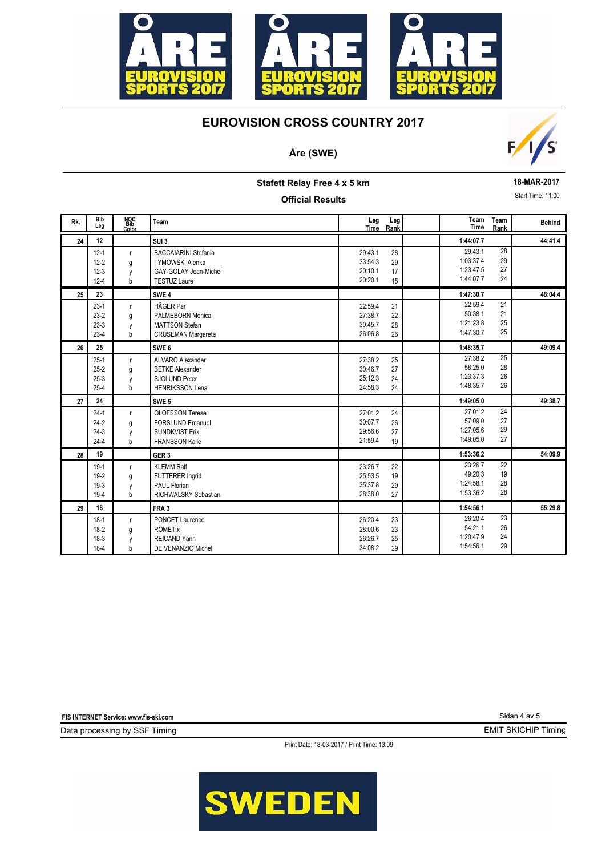

### **Åre (SWE)**



**Stafett Relay Free 4 x 5 km**

#### **Official Results**

**18-MAR-2017**

Start Time: 11:00

| Rk. | <b>Bib</b><br>Leg                            | NOC<br>Bib<br>Color         | Team                                                                                                  | Leg<br>Time                              | Leg<br>Rank          | Team<br>Time                                   | Team<br>Rank         | <b>Behind</b> |
|-----|----------------------------------------------|-----------------------------|-------------------------------------------------------------------------------------------------------|------------------------------------------|----------------------|------------------------------------------------|----------------------|---------------|
| 24  | 12                                           |                             | SUI <sub>3</sub>                                                                                      |                                          |                      | 1:44:07.7                                      |                      | 44:41.4       |
|     | $12 - 1$<br>$12 - 2$<br>$12 - 3$<br>$12 - 4$ | $\mathsf{r}$<br>g<br>y<br>b | <b>BACCAIARINI Stefania</b><br><b>TYMOWSKI Alenka</b><br>GAY-GOLAY Jean-Michel<br><b>TESTUZ Laure</b> | 29:43.1<br>33:54.3<br>20:10.1<br>20:20.1 | 28<br>29<br>17<br>15 | 29:43.1<br>1:03:37.4<br>1:23:47.5<br>1:44:07.7 | 28<br>29<br>27<br>24 |               |
| 25  | 23                                           |                             | SWE <sub>4</sub>                                                                                      |                                          |                      | 1:47:30.7                                      |                      | 48:04.4       |
|     | $23-1$<br>$23-2$<br>$23-3$<br>$23-4$         | r.<br>g<br>y<br>b           | HÄGER Pär<br>PALMEBORN Monica<br><b>MATTSON Stefan</b><br><b>CRUSEMAN Margareta</b>                   | 22:59.4<br>27:38.7<br>30:45.7<br>26:06.8 | 21<br>22<br>28<br>26 | 22:59.4<br>50:38.1<br>1:21:23.8<br>1:47:30.7   | 21<br>21<br>25<br>25 |               |
| 26  | 25                                           |                             | SWE <sub>6</sub>                                                                                      |                                          |                      | 1:48:35.7                                      |                      | 49:09.4       |
|     | $25-1$<br>$25-2$<br>$25-3$<br>$25 - 4$       | $\mathsf{r}$<br>g<br>y<br>b | ALVARO Alexander<br><b>BETKE Alexander</b><br>SJÖLUND Peter<br><b>HENRIKSSON Lena</b>                 | 27:38.2<br>30:46.7<br>25:12.3<br>24:58.3 | 25<br>27<br>24<br>24 | 27:38.2<br>58:25.0<br>1:23:37.3<br>1:48:35.7   | 25<br>28<br>26<br>26 |               |
| 27  | 24                                           |                             | SWE <sub>5</sub>                                                                                      |                                          |                      | 1:49:05.0                                      |                      | 49:38.7       |
|     | $24-1$<br>$24-2$<br>$24-3$<br>$24 - 4$       | $\mathsf{r}$<br>g<br>y<br>b | <b>OLOFSSON Terese</b><br><b>FORSLUND Emanuel</b><br><b>SUNDKVIST Erik</b><br><b>FRANSSON Kalle</b>   | 27:01.2<br>30:07.7<br>29:56.6<br>21:59.4 | 24<br>26<br>27<br>19 | 27:01.2<br>57:09.0<br>1:27:05.6<br>1:49:05.0   | 24<br>27<br>29<br>27 |               |
| 28  | 19                                           |                             | GER <sub>3</sub>                                                                                      |                                          |                      | 1:53:36.2                                      |                      | 54:09.9       |
|     | $19-1$<br>$19 - 2$<br>$19-3$<br>$19 - 4$     | $\mathsf{r}$<br>g<br>y<br>b | <b>KLEMM Ralf</b><br>FUTTERER Ingrid<br>PAUL Florian<br>RICHWALSKY Sebastian                          | 23:26.7<br>25:53.5<br>35:37.8<br>28:38.0 | 22<br>19<br>29<br>27 | 23:26.7<br>49:20.3<br>1:24:58.1<br>1:53:36.2   | 22<br>19<br>28<br>28 |               |
| 29  | 18                                           |                             | FRA <sub>3</sub>                                                                                      |                                          |                      | 1:54:56.1                                      |                      | 55:29.8       |
|     | $18-1$<br>$18-2$<br>$18-3$<br>$18-4$         | $\mathsf{r}$<br>g<br>y<br>b | PONCET Laurence<br><b>ROMET x</b><br>REICAND Yann<br>DE VENANZIO Michel                               | 26:20.4<br>28:00.6<br>26:26.7<br>34:08.2 | 23<br>23<br>25<br>29 | 26:20.4<br>54:21.1<br>1:20:47.9<br>1:54:56.1   | 23<br>26<br>24<br>29 |               |

**FIS INTERNET Service: www.fis-ski.com**

Data processing by SSF Timing

Print Date: 18-03-2017 / Print Time: 13:09



Sidan 4 av 5

EMIT SKICHIP Timing